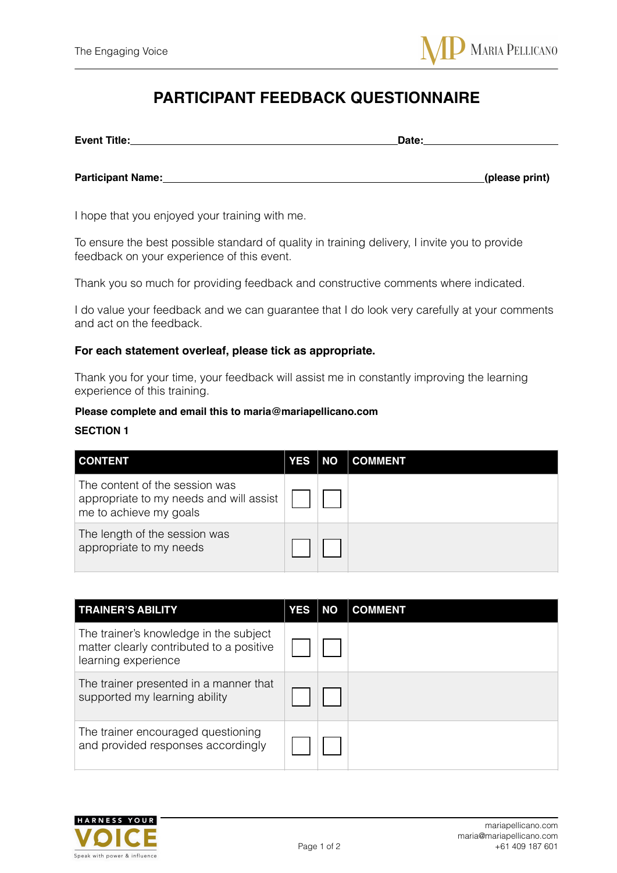# **PARTICIPANT FEEDBACK QUESTIONNAIRE**

| Date:          |
|----------------|
|                |
| (please print) |
|                |

I hope that you enjoyed your training with me.

To ensure the best possible standard of quality in training delivery, I invite you to provide feedback on your experience of this event.

Thank you so much for providing feedback and constructive comments where indicated.

I do value your feedback and we can guarantee that I do look very carefully at your comments and act on the feedback.

### **For each statement overleaf, please tick as appropriate.**

Thank you for your time, your feedback will assist me in constantly improving the learning experience of this training.

#### **Please complete and email this to maria@mariapellicano.com**

#### **SECTION 1**

| <b>CONTENT</b>                                                                                      | <b>YES</b> | <b>NO</b> | <b>COMMENT</b> |
|-----------------------------------------------------------------------------------------------------|------------|-----------|----------------|
| The content of the session was<br>appropriate to my needs and will assist<br>me to achieve my goals |            |           |                |
| The length of the session was<br>appropriate to my needs                                            |            |           |                |

| <b>TRAINER'S ABILITY</b>                                                                                  | <b>YES</b> | <b>NO</b> | <b>COMMENT</b> |
|-----------------------------------------------------------------------------------------------------------|------------|-----------|----------------|
| The trainer's knowledge in the subject<br>matter clearly contributed to a positive<br>learning experience |            |           |                |
| The trainer presented in a manner that<br>supported my learning ability                                   |            |           |                |
| The trainer encouraged questioning<br>and provided responses accordingly                                  |            |           |                |